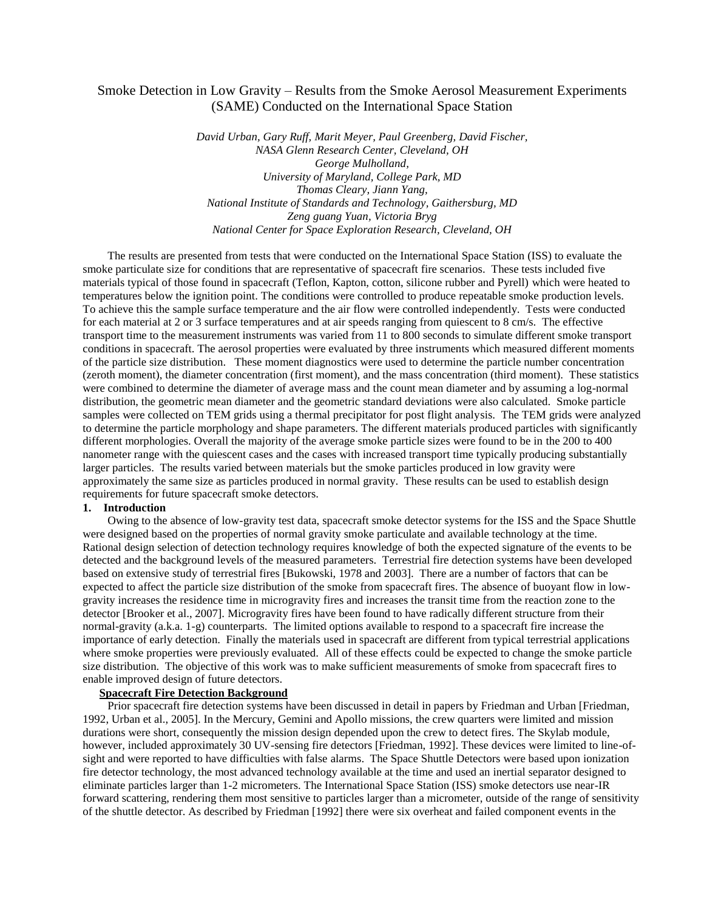# Smoke Detection in Low Gravity – Results from the Smoke Aerosol Measurement Experiments (SAME) Conducted on the International Space Station

*David Urban, Gary Ruff, Marit Meyer, Paul Greenberg, David Fischer, NASA Glenn Research Center, Cleveland, OH George Mulholland, University of Maryland, College Park, MD Thomas Cleary, Jiann Yang, National Institute of Standards and Technology, Gaithersburg, MD Zeng guang Yuan, Victoria Bryg National Center for Space Exploration Research, Cleveland, OH*

The results are presented from tests that were conducted on the International Space Station (ISS) to evaluate the smoke particulate size for conditions that are representative of spacecraft fire scenarios. These tests included five materials typical of those found in spacecraft (Teflon, Kapton, cotton, silicone rubber and Pyrell) which were heated to temperatures below the ignition point. The conditions were controlled to produce repeatable smoke production levels. To achieve this the sample surface temperature and the air flow were controlled independently. Tests were conducted for each material at 2 or 3 surface temperatures and at air speeds ranging from quiescent to 8 cm/s. The effective transport time to the measurement instruments was varied from 11 to 800 seconds to simulate different smoke transport conditions in spacecraft. The aerosol properties were evaluated by three instruments which measured different moments of the particle size distribution. These moment diagnostics were used to determine the particle number concentration (zeroth moment), the diameter concentration (first moment), and the mass concentration (third moment). These statistics were combined to determine the diameter of average mass and the count mean diameter and by assuming a log-normal distribution, the geometric mean diameter and the geometric standard deviations were also calculated. Smoke particle samples were collected on TEM grids using a thermal precipitator for post flight analysis. The TEM grids were analyzed to determine the particle morphology and shape parameters. The different materials produced particles with significantly different morphologies. Overall the majority of the average smoke particle sizes were found to be in the 200 to 400 nanometer range with the quiescent cases and the cases with increased transport time typically producing substantially larger particles. The results varied between materials but the smoke particles produced in low gravity were approximately the same size as particles produced in normal gravity. These results can be used to establish design requirements for future spacecraft smoke detectors.

## **1. Introduction**

Owing to the absence of low-gravity test data, spacecraft smoke detector systems for the ISS and the Space Shuttle were designed based on the properties of normal gravity smoke particulate and available technology at the time. Rational design selection of detection technology requires knowledge of both the expected signature of the events to be detected and the background levels of the measured parameters. Terrestrial fire detection systems have been developed based on extensive study of terrestrial fires [Bukowski, 1978 and 2003]. There are a number of factors that can be expected to affect the particle size distribution of the smoke from spacecraft fires. The absence of buoyant flow in lowgravity increases the residence time in microgravity fires and increases the transit time from the reaction zone to the detector [Brooker et al., 2007]. Microgravity fires have been found to have radically different structure from their normal-gravity (a.k.a. 1-g) counterparts. The limited options available to respond to a spacecraft fire increase the importance of early detection. Finally the materials used in spacecraft are different from typical terrestrial applications where smoke properties were previously evaluated. All of these effects could be expected to change the smoke particle size distribution. The objective of this work was to make sufficient measurements of smoke from spacecraft fires to enable improved design of future detectors.

### **Spacecraft Fire Detection Background**

Prior spacecraft fire detection systems have been discussed in detail in papers by Friedman and Urban [Friedman, 1992, Urban et al., 2005]. In the Mercury, Gemini and Apollo missions, the crew quarters were limited and mission durations were short, consequently the mission design depended upon the crew to detect fires. The Skylab module, however, included approximately 30 UV-sensing fire detectors [Friedman, 1992]. These devices were limited to line-ofsight and were reported to have difficulties with false alarms. The Space Shuttle Detectors were based upon ionization fire detector technology, the most advanced technology available at the time and used an inertial separator designed to eliminate particles larger than 1-2 micrometers. The International Space Station (ISS) smoke detectors use near-IR forward scattering, rendering them most sensitive to particles larger than a micrometer, outside of the range of sensitivity of the shuttle detector. As described by Friedman [1992] there were six overheat and failed component events in the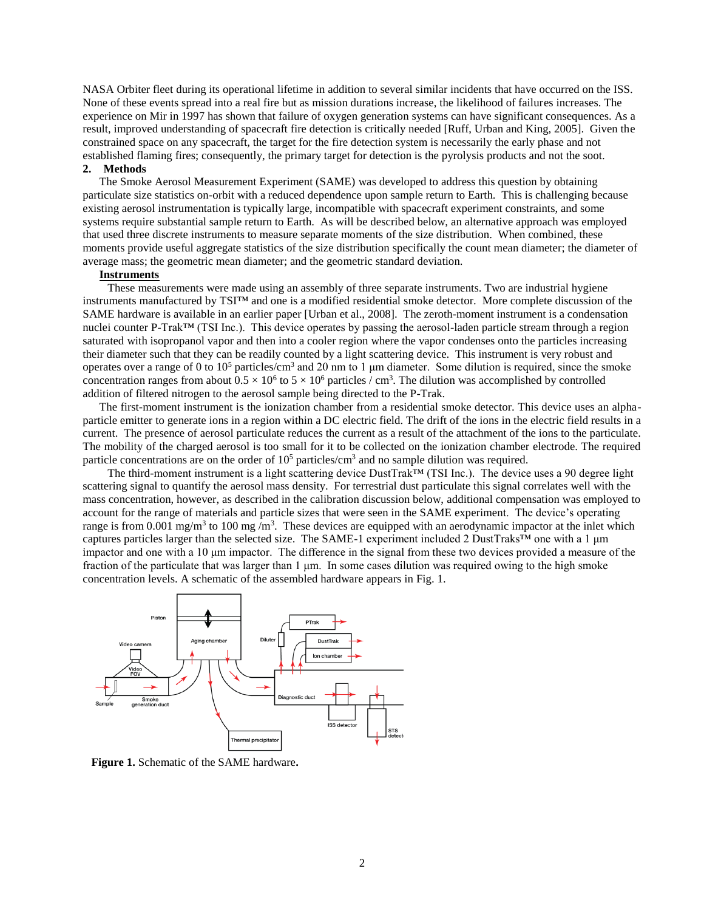NASA Orbiter fleet during its operational lifetime in addition to several similar incidents that have occurred on the ISS. None of these events spread into a real fire but as mission durations increase, the likelihood of failures increases. The experience on Mir in 1997 has shown that failure of oxygen generation systems can have significant consequences. As a result, improved understanding of spacecraft fire detection is critically needed [Ruff, Urban and King, 2005]. Given the constrained space on any spacecraft, the target for the fire detection system is necessarily the early phase and not established flaming fires; consequently, the primary target for detection is the pyrolysis products and not the soot. **2. Methods**

The Smoke Aerosol Measurement Experiment (SAME) was developed to address this question by obtaining particulate size statistics on-orbit with a reduced dependence upon sample return to Earth. This is challenging because existing aerosol instrumentation is typically large, incompatible with spacecraft experiment constraints, and some systems require substantial sample return to Earth. As will be described below, an alternative approach was employed that used three discrete instruments to measure separate moments of the size distribution. When combined, these moments provide useful aggregate statistics of the size distribution specifically the count mean diameter; the diameter of average mass; the geometric mean diameter; and the geometric standard deviation.

#### **Instruments**

These measurements were made using an assembly of three separate instruments. Two are industrial hygiene instruments manufactured by TSI™ and one is a modified residential smoke detector. More complete discussion of the SAME hardware is available in an earlier paper [Urban et al., 2008]. The zeroth-moment instrument is a condensation nuclei counter P-Trak™ (TSI Inc.). This device operates by passing the aerosol-laden particle stream through a region saturated with isopropanol vapor and then into a cooler region where the vapor condenses onto the particles increasing their diameter such that they can be readily counted by a light scattering device. This instrument is very robust and operates over a range of 0 to  $10^5$  particles/cm<sup>3</sup> and 20 nm to 1 µm diameter. Some dilution is required, since the smoke concentration ranges from about  $0.5 \times 10^6$  to  $5 \times 10^6$  particles / cm<sup>3</sup>. The dilution was accomplished by controlled addition of filtered nitrogen to the aerosol sample being directed to the P-Trak.

The first-moment instrument is the ionization chamber from a residential smoke detector. This device uses an alphaparticle emitter to generate ions in a region within a DC electric field. The drift of the ions in the electric field results in a current. The presence of aerosol particulate reduces the current as a result of the attachment of the ions to the particulate. The mobility of the charged aerosol is too small for it to be collected on the ionization chamber electrode. The required particle concentrations are on the order of  $10^5$  particles/cm<sup>3</sup> and no sample dilution was required.

The third-moment instrument is a light scattering device DustTrak™ (TSI Inc.). The device uses a 90 degree light scattering signal to quantify the aerosol mass density. For terrestrial dust particulate this signal correlates well with the mass concentration, however, as described in the calibration discussion below, additional compensation was employed to account for the range of materials and particle sizes that were seen in the SAME experiment. The device's operating range is from 0.001 mg/m<sup>3</sup> to 100 mg/m<sup>3</sup>. These devices are equipped with an aerodynamic impactor at the inlet which captures particles larger than the selected size. The SAME-1 experiment included 2 DustTraks™ one with a 1 μm impactor and one with a 10 μm impactor. The difference in the signal from these two devices provided a measure of the fraction of the particulate that was larger than 1 μm. In some cases dilution was required owing to the high smoke concentration levels. A schematic of the assembled hardware appears in Fig. 1.



**Figure 1.** Schematic of the SAME hardware**.**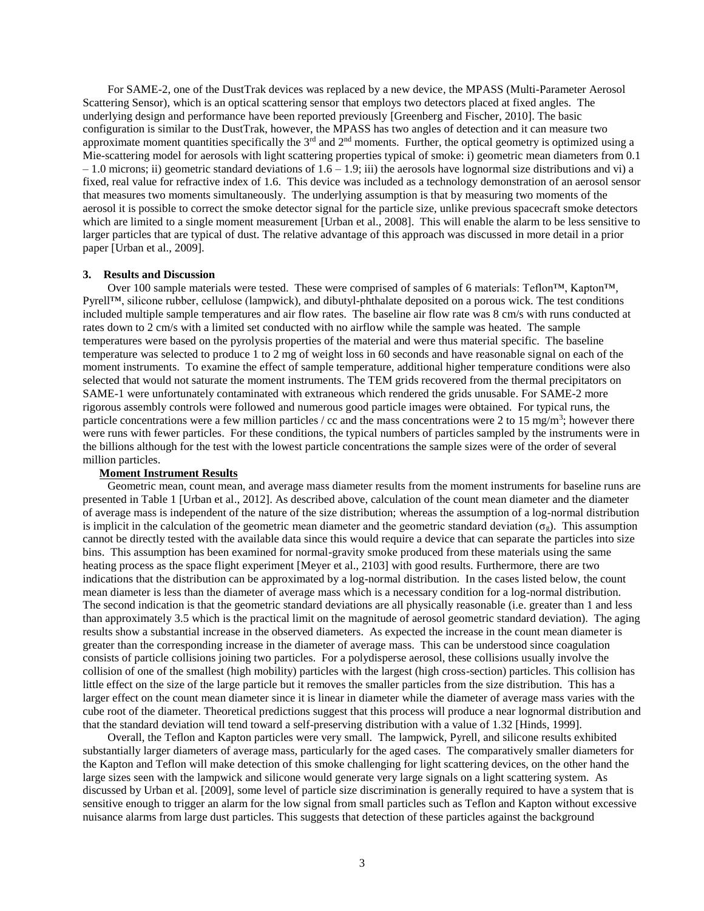For SAME-2, one of the DustTrak devices was replaced by a new device, the MPASS (Multi-Parameter Aerosol Scattering Sensor), which is an optical scattering sensor that employs two detectors placed at fixed angles. The underlying design and performance have been reported previously [Greenberg and Fischer, 2010]. The basic configuration is similar to the DustTrak, however, the MPASS has two angles of detection and it can measure two approximate moment quantities specifically the  $3<sup>rd</sup>$  and  $2<sup>nd</sup>$  moments. Further, the optical geometry is optimized using a Mie-scattering model for aerosols with light scattering properties typical of smoke: i) geometric mean diameters from 0.1  $-1.0$  microns; ii) geometric standard deviations of  $1.6 - 1.9$ ; iii) the aerosols have lognormal size distributions and vi) a fixed, real value for refractive index of 1.6. This device was included as a technology demonstration of an aerosol sensor that measures two moments simultaneously. The underlying assumption is that by measuring two moments of the aerosol it is possible to correct the smoke detector signal for the particle size, unlike previous spacecraft smoke detectors which are limited to a single moment measurement [Urban et al., 2008]. This will enable the alarm to be less sensitive to larger particles that are typical of dust. The relative advantage of this approach was discussed in more detail in a prior paper [Urban et al., 2009].

#### **3. Results and Discussion**

Over 100 sample materials were tested. These were comprised of samples of 6 materials: Teflon™, Kapton™, Pyrell™, silicone rubber, cellulose (lampwick), and dibutyl-phthalate deposited on a porous wick. The test conditions included multiple sample temperatures and air flow rates. The baseline air flow rate was 8 cm/s with runs conducted at rates down to 2 cm/s with a limited set conducted with no airflow while the sample was heated. The sample temperatures were based on the pyrolysis properties of the material and were thus material specific. The baseline temperature was selected to produce 1 to 2 mg of weight loss in 60 seconds and have reasonable signal on each of the moment instruments. To examine the effect of sample temperature, additional higher temperature conditions were also selected that would not saturate the moment instruments. The TEM grids recovered from the thermal precipitators on SAME-1 were unfortunately contaminated with extraneous which rendered the grids unusable. For SAME-2 more rigorous assembly controls were followed and numerous good particle images were obtained. For typical runs, the particle concentrations were a few million particles / cc and the mass concentrations were 2 to 15 mg/m<sup>3</sup>; however there were runs with fewer particles. For these conditions, the typical numbers of particles sampled by the instruments were in the billions although for the test with the lowest particle concentrations the sample sizes were of the order of several million particles.

#### **Moment Instrument Results**

Geometric mean, count mean, and average mass diameter results from the moment instruments for baseline runs are presented in Table 1 [Urban et al., 2012]. As described above, calculation of the count mean diameter and the diameter of average mass is independent of the nature of the size distribution; whereas the assumption of a log-normal distribution is implicit in the calculation of the geometric mean diameter and the geometric standard deviation ( $\sigma<sub>g</sub>$ ). This assumption cannot be directly tested with the available data since this would require a device that can separate the particles into size bins. This assumption has been examined for normal-gravity smoke produced from these materials using the same heating process as the space flight experiment [Meyer et al., 2103] with good results. Furthermore, there are two indications that the distribution can be approximated by a log-normal distribution. In the cases listed below, the count mean diameter is less than the diameter of average mass which is a necessary condition for a log-normal distribution. The second indication is that the geometric standard deviations are all physically reasonable (i.e. greater than 1 and less than approximately 3.5 which is the practical limit on the magnitude of aerosol geometric standard deviation). The aging results show a substantial increase in the observed diameters. As expected the increase in the count mean diameter is greater than the corresponding increase in the diameter of average mass. This can be understood since coagulation consists of particle collisions joining two particles. For a polydisperse aerosol, these collisions usually involve the collision of one of the smallest (high mobility) particles with the largest (high cross-section) particles. This collision has little effect on the size of the large particle but it removes the smaller particles from the size distribution. This has a larger effect on the count mean diameter since it is linear in diameter while the diameter of average mass varies with the cube root of the diameter. Theoretical predictions suggest that this process will produce a near lognormal distribution and that the standard deviation will tend toward a self-preserving distribution with a value of 1.32 [Hinds, 1999].

Overall, the Teflon and Kapton particles were very small. The lampwick, Pyrell, and silicone results exhibited substantially larger diameters of average mass, particularly for the aged cases. The comparatively smaller diameters for the Kapton and Teflon will make detection of this smoke challenging for light scattering devices, on the other hand the large sizes seen with the lampwick and silicone would generate very large signals on a light scattering system. As discussed by Urban et al. [2009], some level of particle size discrimination is generally required to have a system that is sensitive enough to trigger an alarm for the low signal from small particles such as Teflon and Kapton without excessive nuisance alarms from large dust particles. This suggests that detection of these particles against the background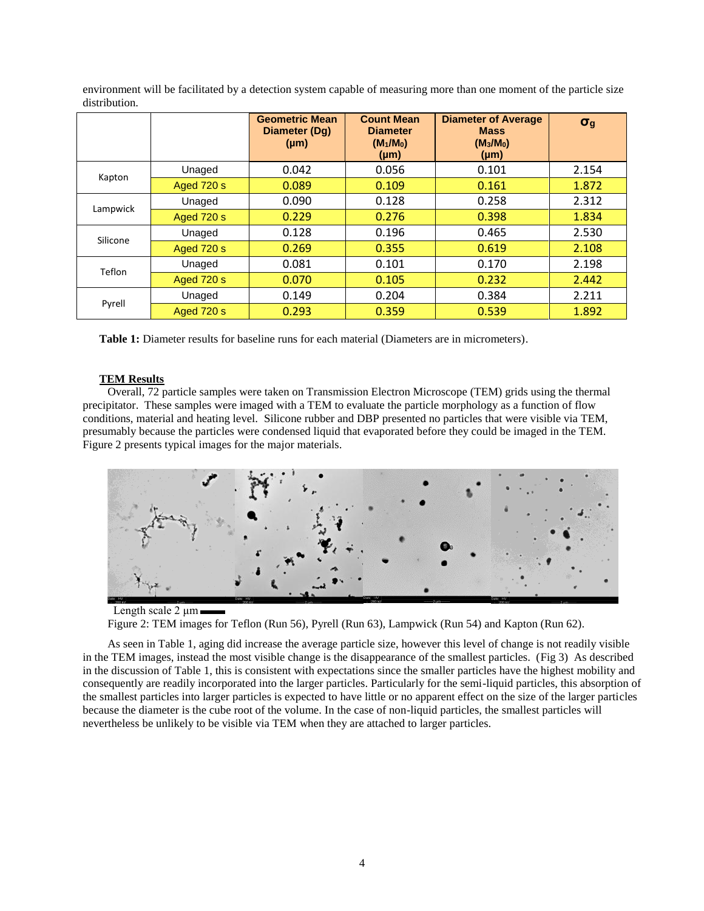environment will be facilitated by a detection system capable of measuring more than one moment of the particle size distribution.

|          |            | <b>Geometric Mean</b><br>Diameter (Dq)<br>$(\mu m)$ | <b>Count Mean</b><br><b>Diameter</b><br>$(M_1/M_0)$<br>$(\mu m)$ | <b>Diameter of Average</b><br><b>Mass</b><br>$(M_3/M_0)$<br>$(\mu m)$ | $\sigma_{g}$ |
|----------|------------|-----------------------------------------------------|------------------------------------------------------------------|-----------------------------------------------------------------------|--------------|
| Kapton   | Unaged     | 0.042                                               | 0.056                                                            | 0.101                                                                 | 2.154        |
|          | Aged 720 s | 0.089                                               | 0.109                                                            | 0.161                                                                 | 1.872        |
| Lampwick | Unaged     | 0.090                                               | 0.128                                                            | 0.258                                                                 | 2.312        |
|          | Aged 720 s | 0.229                                               | 0.276                                                            | 0.398                                                                 | 1.834        |
| Silicone | Unaged     | 0.128                                               | 0.196                                                            | 0.465                                                                 | 2.530        |
|          | Aged 720 s | 0.269                                               | 0.355                                                            | 0.619                                                                 | 2.108        |
| Teflon   | Unaged     | 0.081                                               | 0.101                                                            | 0.170                                                                 | 2.198        |
|          | Aged 720 s | 0.070                                               | 0.105                                                            | 0.232                                                                 | 2.442        |
| Pyrell   | Unaged     | 0.149                                               | 0.204                                                            | 0.384                                                                 | 2.211        |
|          | Aged 720 s | 0.293                                               | 0.359                                                            | 0.539                                                                 | 1.892        |

**Table 1:** Diameter results for baseline runs for each material (Diameters are in micrometers).

## **TEM Results**

Overall, 72 particle samples were taken on Transmission Electron Microscope (TEM) grids using the thermal precipitator. These samples were imaged with a TEM to evaluate the particle morphology as a function of flow conditions, material and heating level. Silicone rubber and DBP presented no particles that were visible via TEM, presumably because the particles were condensed liquid that evaporated before they could be imaged in the TEM. Figure 2 presents typical images for the major materials.



## Length scale  $2 \mu m$

Figure 2: TEM images for Teflon (Run 56), Pyrell (Run 63), Lampwick (Run 54) and Kapton (Run 62).

As seen in Table 1, aging did increase the average particle size, however this level of change is not readily visible in the TEM images, instead the most visible change is the disappearance of the smallest particles. (Fig 3) As described in the discussion of Table 1, this is consistent with expectations since the smaller particles have the highest mobility and consequently are readily incorporated into the larger particles. Particularly for the semi-liquid particles, this absorption of the smallest particles into larger particles is expected to have little or no apparent effect on the size of the larger particles because the diameter is the cube root of the volume. In the case of non-liquid particles, the smallest particles will nevertheless be unlikely to be visible via TEM when they are attached to larger particles.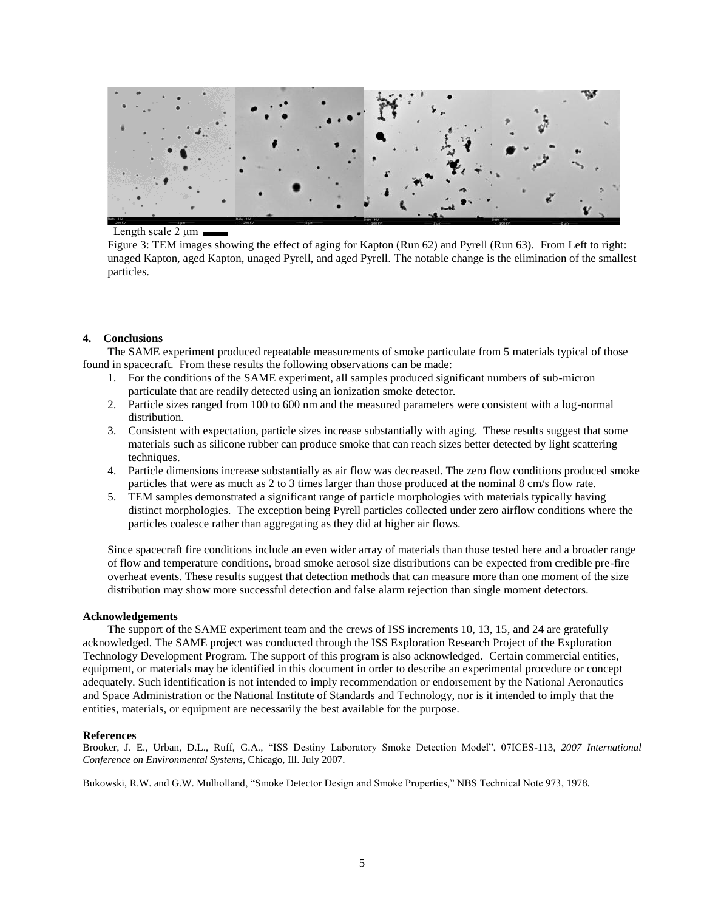

Length scale 2 μm

Figure 3: TEM images showing the effect of aging for Kapton (Run 62) and Pyrell (Run 63). From Left to right: unaged Kapton, aged Kapton, unaged Pyrell, and aged Pyrell. The notable change is the elimination of the smallest particles.

## **4. Conclusions**

The SAME experiment produced repeatable measurements of smoke particulate from 5 materials typical of those found in spacecraft. From these results the following observations can be made:

- 1. For the conditions of the SAME experiment, all samples produced significant numbers of sub-micron particulate that are readily detected using an ionization smoke detector.
- 2. Particle sizes ranged from 100 to 600 nm and the measured parameters were consistent with a log-normal distribution.
- 3. Consistent with expectation, particle sizes increase substantially with aging. These results suggest that some materials such as silicone rubber can produce smoke that can reach sizes better detected by light scattering techniques.
- 4. Particle dimensions increase substantially as air flow was decreased. The zero flow conditions produced smoke particles that were as much as 2 to 3 times larger than those produced at the nominal 8 cm/s flow rate.
- 5. TEM samples demonstrated a significant range of particle morphologies with materials typically having distinct morphologies. The exception being Pyrell particles collected under zero airflow conditions where the particles coalesce rather than aggregating as they did at higher air flows.

Since spacecraft fire conditions include an even wider array of materials than those tested here and a broader range of flow and temperature conditions, broad smoke aerosol size distributions can be expected from credible pre-fire overheat events. These results suggest that detection methods that can measure more than one moment of the size distribution may show more successful detection and false alarm rejection than single moment detectors.

### **Acknowledgements**

The support of the SAME experiment team and the crews of ISS increments 10, 13, 15, and 24 are gratefully acknowledged. The SAME project was conducted through the ISS Exploration Research Project of the Exploration Technology Development Program. The support of this program is also acknowledged. Certain commercial entities, equipment, or materials may be identified in this document in order to describe an experimental procedure or concept adequately. Such identification is not intended to imply recommendation or endorsement by the National Aeronautics and Space Administration or the National Institute of Standards and Technology, nor is it intended to imply that the entities, materials, or equipment are necessarily the best available for the purpose.

### **References**

Brooker, J. E., Urban, D.L., Ruff, G.A., "ISS Destiny Laboratory Smoke Detection Model", 07ICES-113, *2007 International Conference on Environmental Systems*, Chicago, Ill. July 2007.

Bukowski, R.W. and G.W. Mulholland, "Smoke Detector Design and Smoke Properties," NBS Technical Note 973, 1978.